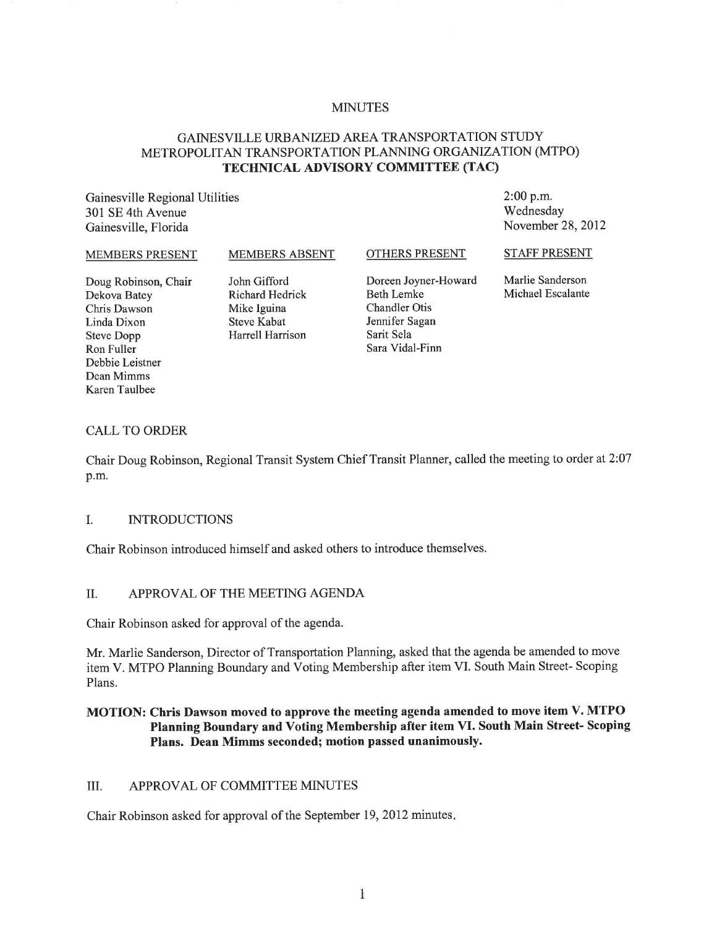### MINUTES

# GAINESVILLE URBANIZED AREA TRANSPORTATION STUDY METROPOLITAN TRANSPORTATION PLANNING ORGANIZATION (MTPO) **TECHNICAL ADVISORY COMMITTEE (TAC)**

Gainesville Regional Utilities 301 SE 4th Avenue Gainesville, Florida

2:00 p.m. Wednesday November 28,2012

#### MEMBERS PRESENT

MEMBERS ABSENT

OTHERS PRESENT

STAFF PRESENT

Doug Robinson, Chair Dekova Batey Chris Dawson Linda Dixon Steve Dopp Ron Fuller Debbie Leistner Dean Mimms Karen Taulbee

John Gifford Richard Hedrick Mike Iguina Steve Kabat Harrell Harrison Doreen Joyner-Howard Beth Lemke Chandler Otis Jennifer Sagan Sarit Sela Sara Vidal-Finn

Marlie Sanderson Michael Escalante

#### CALL TO ORDER

Chair Doug Robinson, Regional Transit System Chief Transit Planner, called the meeting to order at 2:07 p.m.

#### I. INTRODUCTIONS

Chair Robinson introduced himself and asked others to introduce themselves.

## II. APPROVAL OF THE MEETING AGENDA

Chair Robinson asked for approval of the agenda.

Mr. Marlie Sanderson, Director of Transportation Planning, asked that the agenda be amended to move item V. MTPO Planning Boundary and Voting Membership after item VI. South Main Street- Scoping Plans.

## **MOTION: Chris Dawson moved to approve the meeting agenda amended to move item V. MTPO Planning Boundary and Voting Membership after item VI. South Main Street- Scoping Plans. Dean Mimms seconded; motion passed unanimously.**

## III. APPROVAL OF COMMITTEE MINUTES

Chair Robinson asked for approval of the September 19,2012 minutes.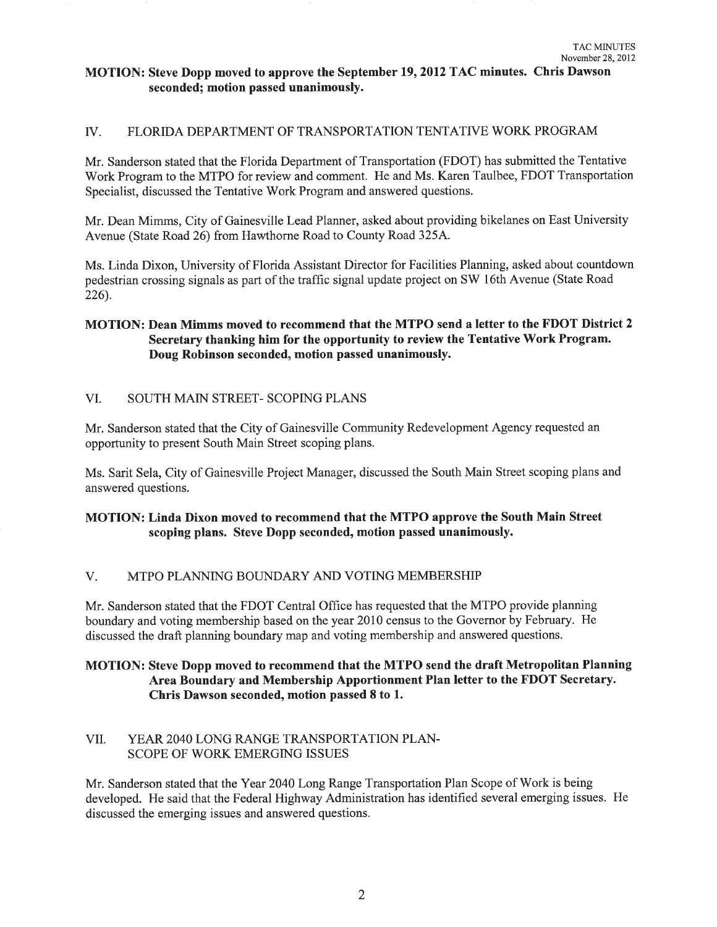## **MOTION: Steve Dopp moved to approve the September 19, 2012 TAC minutes. Chris Dawson seconded; motion passed unanimously.**

### IV. FLORIDA DEPARTMENT OF TRANSPORTATION TENTATIVE WORK PROGRAM

Mr. Sanderson stated that the Florida Department of Transportation (FDOT) has submitted the Tentative Work Program to the MTPO for review and comment. He and Ms. Karen Taulbee, FDOT Transportation Specialist, discussed the Tentative Work Program and answered questions.

Mr. Dean Mimms, City of Gainesville Lead Planner, asked about providing bikelanes on East University Avenue (State Road 26) from Hawthorne Road to County Road 325A.

Ms. Linda Dixon, University of Florida Assistant Director for Facilities Planning, asked about countdown pedestrian crossing signals as part of the traffic signal update project on SW 16th Avenue (State Road 226).

## **MOTION: Dean Mimms moved to recommend that the MTPO send a letter to the FDOT District 2 Secretary thanking him for the opportunity to review the Tentative Work Program. Doug Robinson seconded, motion passed unanimously.**

## VI. SOUTH MAIN STREET - SCOPING PLANS

Mr. Sanderson stated that the City of Gainesville Community Redevelopment Agency requested an opportunity to present South Main Street scoping plans.

Ms. Sarit Sela, City of Gainesville Project Manager, discussed the South Main Street scoping plans and answered questions.

## **MOTION: Linda Dixon moved to recommend that the MTPO approve the South Main Street scoping plans. Steve Dopp seconded, motion passed unanimously.**

## V. MTPO PLANNING BOUNDARY AND VOTING MEMBERSHIP

Mr. Sanderson stated that the FDOT Central Office has requested that the MTPO provide planning boundary and voting membership based on the year 2010 census to the Governor by February. He discussed the draft planning boundary map and voting membership and answered questions.

## **MOTION: Steve Dopp moved to recommend that the MTPO send the draft Metropolitan Planning Area Boundary and Membership Apportionment Plan letter to the FDOT Secretary. Chris Dawson seconded, motion passed 8 to 1.**

## VII. YEAR 2040 LONG RANGE TRANSPORTATION PLAN-SCOPE OF WORK EMERGING ISSUES

Mr. Sanderson stated that the Year 2040 Long Range Transportation Plan Scope of Work is being developed. He said that the Federal Highway Administration has identified several emerging issues. He discussed the emerging issues and answered questions.